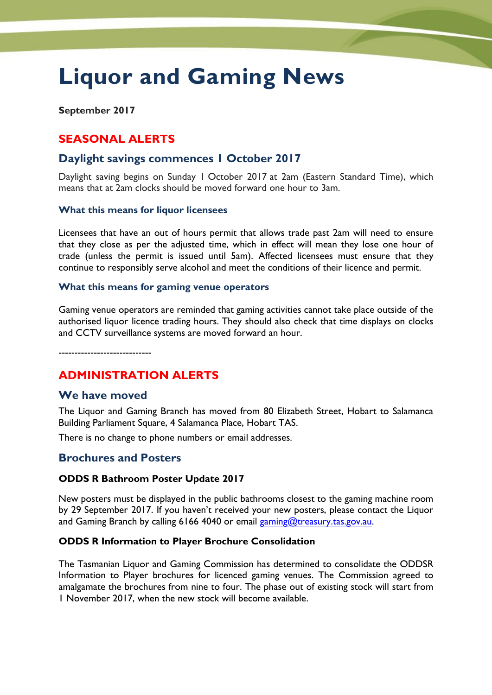# **Liquor and Gaming News**

**September 2017**

# **SEASONAL ALERTS**

# **Daylight savings commences 1 October 2017**

Daylight saving begins on Sunday 1 October 2017 at 2am (Eastern Standard Time), which means that at 2am clocks should be moved forward one hour to 3am.

#### **What this means for liquor licensees**

Licensees that have an out of hours permit that allows trade past 2am will need to ensure that they close as per the adjusted time, which in effect will mean they lose one hour of trade (unless the permit is issued until 5am). Affected licensees must ensure that they continue to responsibly serve alcohol and meet the conditions of their licence and permit.

#### **What this means for gaming venue operators**

Gaming venue operators are reminded that gaming activities cannot take place outside of the authorised liquor licence trading hours. They should also check that time displays on clocks and CCTV surveillance systems are moved forward an hour.

-----------------------------

# **ADMINISTRATION ALERTS**

#### **We have moved**

The Liquor and Gaming Branch has moved from 80 Elizabeth Street, Hobart to Salamanca Building Parliament Square, 4 Salamanca Place, Hobart TAS.

There is no change to phone numbers or email addresses.

#### **Brochures and Posters**

#### **ODDS R Bathroom Poster Update 2017**

New posters must be displayed in the public bathrooms closest to the gaming machine room by 29 September 2017. If you haven't received your new posters, please contact the Liquor and Gaming Branch by calling 6166 4040 or email [gaming@treasury.tas.gov.au.](mailto:gaming@treasury.tas.gov.au)

#### **ODDS R Information to Player Brochure Consolidation**

The Tasmanian Liquor and Gaming Commission has determined to consolidate the ODDSR Information to Player brochures for licenced gaming venues. The Commission agreed to amalgamate the brochures from nine to four. The phase out of existing stock will start from 1 November 2017, when the new stock will become available.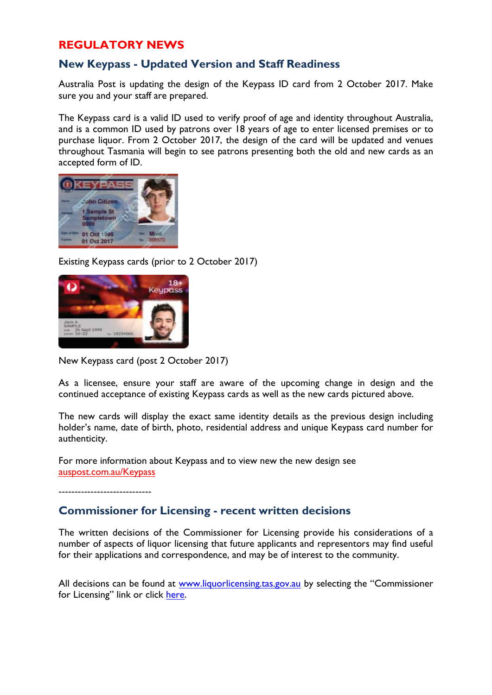# **REGULATORY NEWS**

# **New Keypass - Updated Version and Staff Readiness**

Australia Post is updating the design of the Keypass ID card from 2 October 2017. Make sure you and your staff are prepared.

The Keypass card is a valid ID used to verify proof of age and identity throughout Australia, and is a common ID used by patrons over 18 years of age to enter licensed premises or to purchase liquor. From 2 October 2017, the design of the card will be updated and venues throughout Tasmania will begin to see patrons presenting both the old and new cards as an accepted form of ID.



Existing Keypass cards (prior to 2 October 2017)



New Keypass card (post 2 October 2017)

As a licensee, ensure your staff are aware of the upcoming change in design and the continued acceptance of existing Keypass cards as well as the new cards pictured above.

The new cards will display the exact same identity details as the previous design including holder's name, date of birth, photo, residential address and unique Keypass card number for authenticity.

For more information about Keypass and to view new the new design see auspost.com.au/Keypass

-----------------------------

# **Commissioner for Licensing - recent written decisions**

The written decisions of the Commissioner for Licensing provide his considerations of a number of aspects of liquor licensing that future applicants and representors may find useful for their applications and correspondence, and may be of interest to the community.

All decisions can be found at [www.liquorlicensing.tas.gov.au](http://www.liquorlicensing.tas.gov.au/) by selecting the "Commissioner for Licensing" link or click [here.](http://www.treasury.tas.gov.au/liquor-and-gaming/about-us/commissioner-for-licensing/liquor-licence-decisions#Decisi)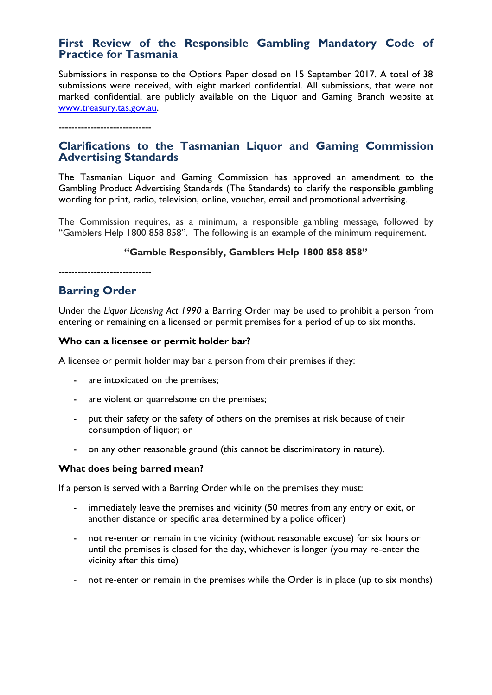# **First Review of the Responsible Gambling Mandatory Code of Practice for Tasmania**

Submissions in response to the Options Paper closed on 15 September 2017. A total of 38 submissions were received, with eight marked confidential. All submissions, that were not marked confidential, are publicly available on the Liquor and Gaming Branch website at [www.treasury.tas.gov.au.](http://www.treasury.tas.gov.au/)

-----------------------------

# **Clarifications to the Tasmanian Liquor and Gaming Commission Advertising Standards**

The Tasmanian Liquor and Gaming Commission has approved an amendment to the Gambling Product Advertising Standards (The Standards) to clarify the responsible gambling wording for print, radio, television, online, voucher, email and promotional advertising.

The Commission requires, as a minimum, a responsible gambling message, followed by "Gamblers Help 1800 858 858". The following is an example of the minimum requirement.

#### **"Gamble Responsibly, Gamblers Help 1800 858 858"**

-----------------------------

# **Barring Order**

Under the *Liquor Licensing Act 1990* a Barring Order may be used to prohibit a person from entering or remaining on a licensed or permit premises for a period of up to six months.

#### **Who can a licensee or permit holder bar?**

A licensee or permit holder may bar a person from their premises if they:

- are intoxicated on the premises;
- are violent or quarrelsome on the premises;
- put their safety or the safety of others on the premises at risk because of their consumption of liquor; or
- on any other reasonable ground (this cannot be discriminatory in nature).

#### **What does being barred mean?**

If a person is served with a Barring Order while on the premises they must:

- immediately leave the premises and vicinity (50 metres from any entry or exit, or another distance or specific area determined by a police officer)
- not re-enter or remain in the vicinity (without reasonable excuse) for six hours or until the premises is closed for the day, whichever is longer (you may re-enter the vicinity after this time)
- not re-enter or remain in the premises while the Order is in place (up to six months)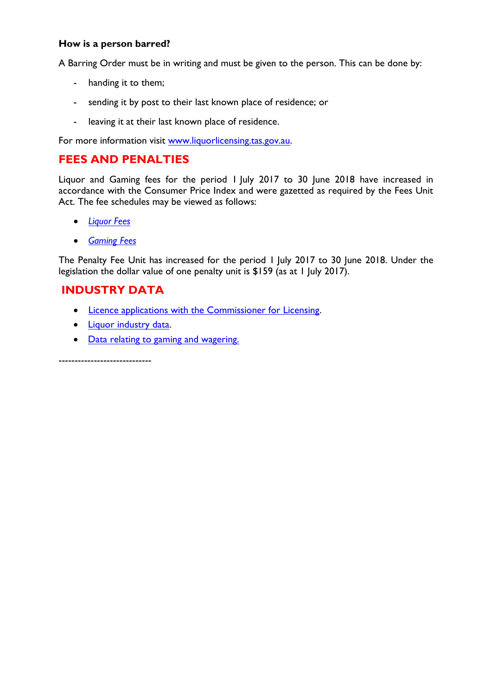#### **How is a person barred?**

A Barring Order must be in writing and must be given to the person. This can be done by:

- handing it to them;
- sending it by post to their last known place of residence; or
- leaving it at their last known place of residence.

For more information visit [www.liquorlicensing.tas.gov.au.](http://www.liquorlicensing.tas.gov.au/)

# **FEES AND PENALTIES**

Liquor and Gaming fees for the period 1 July 2017 to 30 June 2018 have increased in accordance with the Consumer Price Index and were gazetted as required by the Fees Unit Act. The fee schedules may be viewed as follows:

- *[Liquor Fees](http://www.treasury.tas.gov.au/liquor-and-gaming/liquor/liquor-fees-and-payment)*
- *[Gaming Fees](http://www.treasury.tas.gov.au/liquor-and-gaming/gambling/gaming-fees-and-payment)*

The Penalty Fee Unit has increased for the period 1 July 2017 to 30 June 2018. Under the legislation the dollar value of one penalty unit is \$159 (as at 1 July 2017).

# **INDUSTRY DATA**

- [Licence applications with the Commissioner for Licensing.](http://www.treasury.tas.gov.au/liquor-and-gaming/about-us/commissioner-for-licensing/applications-with-commissioner)
- [Liquor industry data.](http://www.treasury.tas.gov.au/liquor-and-gaming/legislation-and-data/liquor-industry-data)
- [Data relating to gaming and wagering.](http://www.treasury.tas.gov.au/liquor-and-gaming/legislation-and-data/gambling-industry-data)

-----------------------------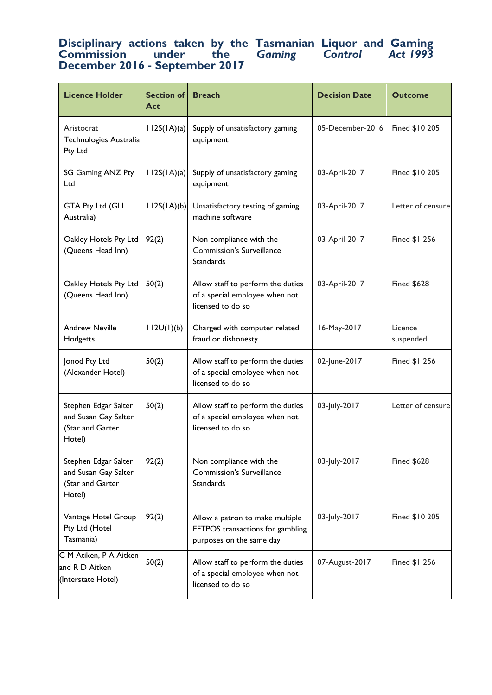# **Disciplinary actions taken by the Tasmanian Liquor and Gaming Commission under the** *Gaming Control Act 1993* **December 2016 - September 2017**

| <b>Licence Holder</b>                                                      | <b>Section of</b><br>Act | <b>Breach</b>                                                                                   | <b>Decision Date</b> | <b>Outcome</b>       |
|----------------------------------------------------------------------------|--------------------------|-------------------------------------------------------------------------------------------------|----------------------|----------------------|
| Aristocrat<br>Technologies Australia<br>Pty Ltd                            | 112S(1A)(a)              | Supply of unsatisfactory gaming<br>equipment                                                    | 05-December-2016     | Fined \$10 205       |
| SG Gaming ANZ Pty<br>Ltd                                                   | 112S(1A)(a)              | Supply of unsatisfactory gaming<br>equipment                                                    | 03-April-2017        | Fined \$10 205       |
| GTA Pty Ltd (GLI<br>Australia)                                             | 112S(1A)(b)              | Unsatisfactory testing of gaming<br>machine software                                            | 03-April-2017        | Letter of censure    |
| Oakley Hotels Pty Ltd<br>(Queens Head Inn)                                 | 92(2)                    | Non compliance with the<br>Commission's Surveillance<br>Standards                               | 03-April-2017        | Fined \$1 256        |
| Oakley Hotels Pty Ltd<br>(Queens Head Inn)                                 | 50(2)                    | Allow staff to perform the duties<br>of a special employee when not<br>licensed to do so        | 03-April-2017        | <b>Fined \$628</b>   |
| <b>Andrew Neville</b><br>Hodgetts                                          | 112U(1)(b)               | Charged with computer related<br>fraud or dishonesty                                            | 16-May-2017          | Licence<br>suspended |
| Jonod Pty Ltd<br>(Alexander Hotel)                                         | 50(2)                    | Allow staff to perform the duties<br>of a special employee when not<br>licensed to do so        | 02-June-2017         | Fined \$1 256        |
| Stephen Edgar Salter<br>and Susan Gay Salter<br>(Star and Garter<br>Hotel) | 50(2)                    | Allow staff to perform the duties<br>of a special employee when not<br>licensed to do so        | 03-July-2017         | Letter of censure    |
| Stephen Edgar Salter<br>and Susan Gay Salter<br>(Star and Garter<br>Hotel) | 92(2)                    | Non compliance with the<br><b>Commission's Surveillance</b><br>Standards                        | 03-July-2017         | <b>Fined \$628</b>   |
| Vantage Hotel Group<br>Pty Ltd (Hotel<br>Tasmania)                         | 92(2)                    | Allow a patron to make multiple<br>EFTPOS transactions for gambling<br>purposes on the same day | 03-July-2017         | Fined \$10 205       |
| C M Atiken, P A Aitken<br>and R D Aitken<br>(Interstate Hotel)             | 50(2)                    | Allow staff to perform the duties<br>of a special employee when not<br>licensed to do so        | 07-August-2017       | Fined \$1 256        |